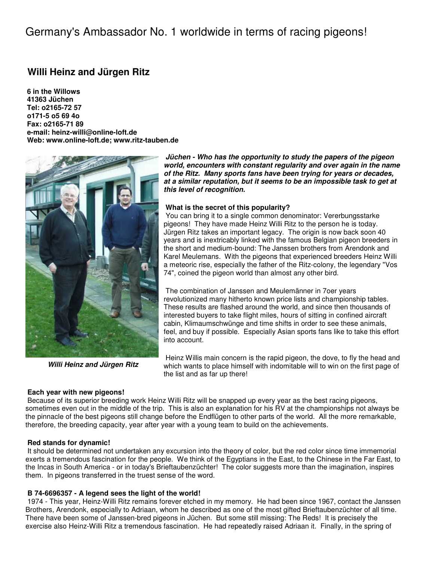# Germany's Ambassador No. 1 worldwide in terms of racing pigeons!

## **Willi Heinz and Jürgen Ritz**

**6 in the Willows 41363 Jüchen Tel: o2165-72 57 o171-5 o5 69 4o Fax: o2165-71 89 e-mail: heinz-willi@online-loft.de Web: www.online-loft.de; www.ritz-tauben.de** 



**Willi Heinz and Jürgen Ritz**

#### **Each year with new pigeons!**

**Jüchen - Who has the opportunity to study the papers of the pigeon world, encounters with constant regularity and over again in the name of the Ritz. Many sports fans have been trying for years or decades, at a similar reputation, but it seems to be an impossible task to get at this level of recognition.** 

#### **What is the secret of this popularity?**

 You can bring it to a single common denominator: Vererbungsstarke pigeons! They have made Heinz Willi Ritz to the person he is today. Jürgen Ritz takes an important legacy. The origin is now back soon 40 years and is inextricably linked with the famous Belgian pigeon breeders in the short and medium-bound: The Janssen brothers from Arendonk and Karel Meulemans. With the pigeons that experienced breeders Heinz Willi a meteoric rise, especially the father of the Ritz-colony, the legendary "Vos 74", coined the pigeon world than almost any other bird.

 The combination of Janssen and Meulemänner in 7oer years revolutionized many hitherto known price lists and championship tables. These results are flashed around the world, and since then thousands of interested buyers to take flight miles, hours of sitting in confined aircraft cabin, Klimaumschwünge and time shifts in order to see these animals, feel, and buy if possible. Especially Asian sports fans like to take this effort into account.

 Heinz Willis main concern is the rapid pigeon, the dove, to fly the head and which wants to place himself with indomitable will to win on the first page of the list and as far up there!

 Because of its superior breeding work Heinz Willi Ritz will be snapped up every year as the best racing pigeons, sometimes even out in the middle of the trip. This is also an explanation for his RV at the championships not always be the pinnacle of the best pigeons still change before the Endflügen to other parts of the world. All the more remarkable, therefore, the breeding capacity, year after year with a young team to build on the achievements.

#### **Red stands for dynamic!**

 It should be determined not undertaken any excursion into the theory of color, but the red color since time immemorial exerts a tremendous fascination for the people. We think of the Egyptians in the East, to the Chinese in the Far East, to the Incas in South America - or in today's Brieftaubenzüchter! The color suggests more than the imagination, inspires them. In pigeons transferred in the truest sense of the word.

#### **B 74-6696357 - A legend sees the light of the world!**

 1974 - This year, Heinz-Willi Ritz remains forever etched in my memory. He had been since 1967, contact the Janssen Brothers, Arendonk, especially to Adriaan, whom he described as one of the most gifted Brieftaubenzüchter of all time. There have been some of Janssen-bred pigeons in Jüchen. But some still missing: The Reds! It is precisely the exercise also Heinz-Willi Ritz a tremendous fascination. He had repeatedly raised Adriaan it. Finally, in the spring of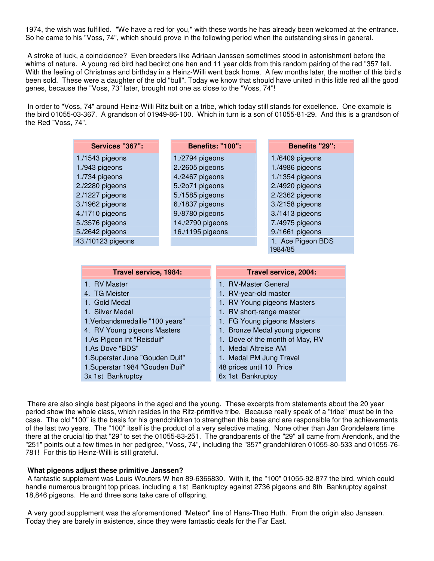1974, the wish was fulfilled. "We have a red for you," with these words he has already been welcomed at the entrance. So he came to his "Voss, 74", which should prove in the following period when the outstanding sires in general.

 A stroke of luck, a coincidence? Even breeders like Adriaan Janssen sometimes stood in astonishment before the whims of nature. A young red bird had becirct one hen and 11 year olds from this random pairing of the red "357 fell. With the feeling of Christmas and birthday in a Heinz-Willi went back home. A few months later, the mother of this bird's been sold. These were a daughter of the old "bull". Today we know that should have united in this little red all the good genes, because the "Voss, 73" later, brought not one as close to the "Voss, 74"!

 In order to "Voss, 74" around Heinz-Willi Ritz built on a tribe, which today still stands for excellence. One example is the bird 01055-03-367. A grandson of 01949-86-100. Which in turn is a son of 01055-81-29. And this is a grandson of the Red "Voss, 74".

| <b>Services "367":</b>          |                  | <b>Benefits: "100":</b> | Benefits "29":                |  |
|---------------------------------|------------------|-------------------------|-------------------------------|--|
| $1./1543$ pigeons               | 1./2794 pigeons  |                         | 1./6409 pigeons               |  |
| 1./943 pigeons                  | 2./2605 pigeons  |                         | 1./4986 pigeons               |  |
| 1./734 pigeons                  | 4./2467 pigeons  |                         | 1./1354 pigeons               |  |
| 2./2280 pigeons                 | 5./2o71 pigeons  |                         | 2./4920 pigeons               |  |
| 2./1227 pigeons                 | 5./1585 pigeons  |                         | 2./2362 pigeons               |  |
| 3./1962 pigeons                 | 6./1837 pigeons  |                         | 3./2158 pigeons               |  |
| 4./1710 pigeons                 | 9./8780 pigeons  |                         | 3./1413 pigeons               |  |
| 5./3576 pigeons                 | 14./2790 pigeons |                         | 7./4975 pigeons               |  |
| 5./2642 pigeons                 | 16./1195 pigeons |                         | 9./1661 pigeons               |  |
| 43./10123 pigeons               |                  |                         | 1. Ace Pigeon BDS             |  |
|                                 |                  |                         | 1984/85                       |  |
|                                 |                  |                         |                               |  |
| Travel service, 1984:           |                  | Travel service, 2004:   |                               |  |
| 1. RV Master                    |                  | 1. RV-Master General    |                               |  |
| 4. TG Meister                   |                  | 1. RV-year-old master   |                               |  |
|                                 |                  |                         |                               |  |
| <b>Gold Medal</b><br>$1_{-}$    |                  |                         | 1. RV Young pigeons Masters   |  |
| 1. Silver Medal                 |                  |                         | 1. RV short-range master      |  |
| 1. Verbandsmedaille "100 years" |                  |                         | 1. FG Young pigeons Masters   |  |
| 4. RV Young pigeons Masters     |                  |                         | 1. Bronze Medal young pigeons |  |
| 1.As Pigeon int "Reisduif"      |                  | 1.                      | Dove of the month of May, RV  |  |
| 1.As Dove "BDS"                 |                  | 1. Medal Altreise AM    |                               |  |
| 1. Superstar June "Gouden Duif" |                  |                         | 1. Medal PM Jung Travel       |  |

3x 1st Bankruptcy

 There are also single best pigeons in the aged and the young. These excerpts from statements about the 20 year period show the whole class, which resides in the Ritz-primitive tribe. Because really speak of a "tribe" must be in the case. The old "100" is the basis for his grandchildren to strengthen this base and are responsible for the achievements of the last two years. The "100" itself is the product of a very selective mating. None other than Jan Grondelaers time there at the crucial tip that "29" to set the 01055-83-251. The grandparents of the "29" all came from Arendonk, and the "251" points out a few times in her pedigree, "Voss, 74", including the "357" grandchildren 01055-80-533 and 01055-76- 781! For this tip Heinz-Willi is still grateful.

6x 1st Bankruptcy

#### **What pigeons adjust these primitive Janssen?**

 A fantastic supplement was Louis Wouters W hen 89-6366830. With it, the "100" 01055-92-877 the bird, which could handle numerous brought top prices, including a 1st Bankruptcy against 2736 pigeons and 8th Bankruptcy against 18,846 pigeons. He and three sons take care of offspring.

 A very good supplement was the aforementioned "Meteor" line of Hans-Theo Huth. From the origin also Janssen. Today they are barely in existence, since they were fantastic deals for the Far East.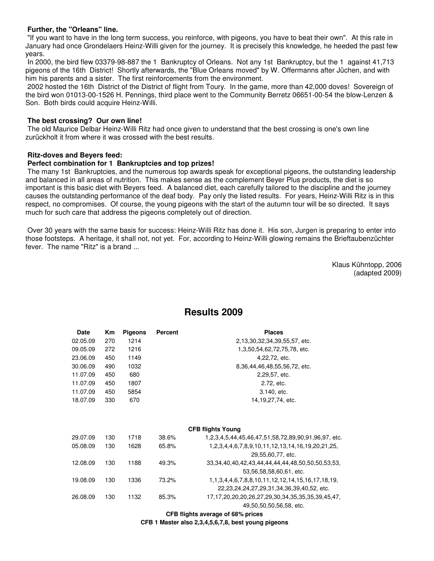#### **Further, the "Orleans" line.**

 "If you want to have in the long term success, you reinforce, with pigeons, you have to beat their own". At this rate in January had once Grondelaers Heinz-Willi given for the journey. It is precisely this knowledge, he heeded the past few years.

 In 2000, the bird flew 03379-98-887 the 1 Bankruptcy of Orleans. Not any 1st Bankruptcy, but the 1 against 41,713 pigeons of the 16th District! Shortly afterwards, the "Blue Orleans moved" by W. Offermanns after Jüchen, and with him his parents and a sister. The first reinforcements from the environment.

 2002 hosted the 16th District of the District of flight from Toury. In the game, more than 42,000 doves! Sovereign of the bird won 01013-00-1526 H. Pennings, third place went to the Community Berretz 06651-00-54 the blow-Lenzen & Son. Both birds could acquire Heinz-Willi.

#### **The best crossing? Our own line!**

 The old Maurice Delbar Heinz-Willi Ritz had once given to understand that the best crossing is one's own line zurückholt it from where it was crossed with the best results.

#### **Ritz-doves and Beyers feed:**

#### **Perfect combination for 1 Bankruptcies and top prizes!**

 The many 1st Bankruptcies, and the numerous top awards speak for exceptional pigeons, the outstanding leadership and balanced in all areas of nutrition. This makes sense as the complement Beyer Plus products, the diet is so important is this basic diet with Beyers feed. A balanced diet, each carefully tailored to the discipline and the journey causes the outstanding performance of the deaf body. Pay only the listed results. For years, Heinz-Willi Ritz is in this respect, no compromises. Of course, the young pigeons with the start of the autumn tour will be so directed. It says much for such care that address the pigeons completely out of direction.

 Over 30 years with the same basis for success: Heinz-Willi Ritz has done it. His son, Jurgen is preparing to enter into those footsteps. A heritage, it shall not, not yet. For, according to Heinz-Willi glowing remains the Brieftaubenzüchter fever. The name "Ritz" is a brand ...

> Klaus Kühntopp, 2006 (adapted 2009)

| <b>Date</b> | Кm  | <b>Pigeons</b> | <b>Percent</b> | <b>Places</b>                                                       |
|-------------|-----|----------------|----------------|---------------------------------------------------------------------|
| 02.05.09    | 270 | 1214           |                | 2,13,30,32,34,39,55,57, etc.                                        |
| 09.05.09    | 272 | 1216           |                | 1,3,50,54,62,72,75,78, etc.                                         |
| 23.06.09    | 450 | 1149           |                | 4,22,72, etc.                                                       |
| 30.06.09    | 490 | 1032           |                | 8,36,44,46,48,55,56,72, etc.                                        |
| 11.07.09    | 450 | 680            |                | 2,29,57, etc.                                                       |
| 11.07.09    | 450 | 1807           |                | 2.72, etc.                                                          |
| 11.07.09    | 450 | 5854           |                | 3.140, etc.                                                         |
| 18.07.09    | 330 | 670            |                | 14,19,27,74, etc.                                                   |
|             |     |                |                |                                                                     |
|             |     |                |                | <b>CFB flights Young</b>                                            |
| 29.07.09    | 130 | 1718           | 38.6%          | 1, 2, 3, 4, 5, 44, 45, 46, 47, 51, 58, 72, 89, 90, 91, 96, 97, etc. |
| 05.08.09    | 130 | 1628           | 65.8%          | 1, 2, 3, 4, 4, 6, 7, 8, 9, 10, 11, 12, 13, 14, 16, 19, 20, 21, 25,  |
|             |     |                |                | 29,55,60,77, etc.                                                   |
| 12.08.09    | 130 | 1188           | 49.3%          | 33, 34, 40, 40, 42, 43, 44, 44, 44, 44, 48, 50, 50, 50, 53, 53,     |
|             |     |                |                | 53,56,58,58,60,61, etc.                                             |
| 19.08.09    | 130 | 1336           | 73.2%          | 1, 1, 3, 4, 4, 6, 7, 8, 8, 10, 11, 12, 12, 14, 15, 16, 17, 18, 19,  |
|             |     |                |                | 22, 23, 24, 24, 27, 29, 31, 34, 36, 39, 40, 52, etc.                |
| 26.08.09    | 130 | 1132           | 85.3%          | 17, 17, 20, 20, 20, 26, 27, 29, 30, 34, 35, 35, 35, 39, 45, 47,     |
|             |     |                |                | 49,50,50,50,56,58, etc.                                             |
|             |     |                |                | CFB flights average of 68% prices                                   |

## **Results 2009**

**CFB 1 Master also 2,3,4,5,6,7,8, best young pigeons**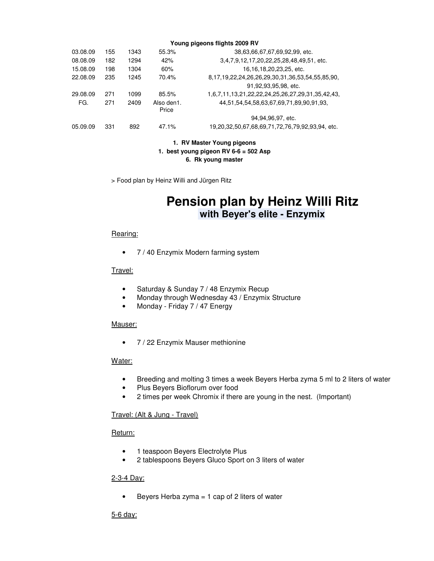| Young pigeons flights 2009 RV |     |      |                     |                                                                |  |  |  |
|-------------------------------|-----|------|---------------------|----------------------------------------------------------------|--|--|--|
| 03.08.09                      | 155 | 1343 | 55.3%               | 38,63,66,67,67,69,92,99, etc.                                  |  |  |  |
| 08.08.09                      | 182 | 1294 | 42%                 | 3,4,7,9,12,17,20,22,25,28,48,49,51, etc.                       |  |  |  |
| 15.08.09                      | 198 | 1304 | 60%                 | 16, 16, 18, 20, 23, 25, etc.                                   |  |  |  |
| 22.08.09                      | 235 | 1245 | 70.4%               | 8, 17, 19, 22, 24, 26, 26, 29, 30, 31, 36, 53, 54, 55, 85, 90, |  |  |  |
|                               |     |      |                     | 91,92,93,95,98, etc.                                           |  |  |  |
| 29.08.09                      | 271 | 1099 | 85.5%               | 1,6,7,11,13,21,22,22,24,25,26,27,29,31,35,42,43,               |  |  |  |
| FG.                           | 271 | 2409 | Also den1.<br>Price | 44,51,54,54,58,63,67,69,71,89,90,91,93,                        |  |  |  |
|                               |     |      |                     | 94,94,96,97, etc.                                              |  |  |  |
| 05.09.09                      | 331 | 892  | 47.1%               | 19,20,32,50,67,68,69,71,72,76,79,92,93,94, etc.                |  |  |  |

#### **1. RV Master Young pigeons 1. best young pigeon RV 6-6 = 502 Asp 6. Rk young master**

> Food plan by Heinz Willi and Jürgen Ritz

# **Pension plan by Heinz Willi Ritz with Beyer's elite - Enzymix**

#### Rearing:

• 7 / 40 Enzymix Modern farming system

#### Travel:

- Saturday & Sunday 7 / 48 Enzymix Recup
- Monday through Wednesday 43 / Enzymix Structure
- Monday Friday 7 / 47 Energy

#### Mauser:

• 7 / 22 Enzymix Mauser methionine

#### Water:

- Breeding and molting 3 times a week Beyers Herba zyma 5 ml to 2 liters of water
- Plus Beyers Bioflorum over food
- 2 times per week Chromix if there are young in the nest. (Important)

#### Travel: (Alt & Jung - Travel)

#### Return:

- 1 teaspoon Beyers Electrolyte Plus
- 2 tablespoons Beyers Gluco Sport on 3 liters of water

#### 2-3-4 Day:

• Beyers Herba zyma = 1 cap of 2 liters of water

#### 5-6 day: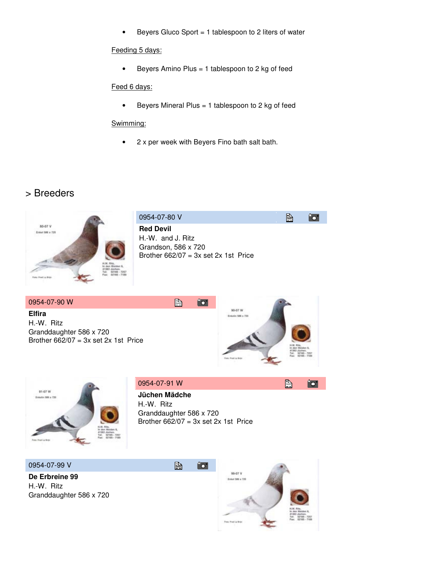• Beyers Gluco Sport = 1 tablespoon to 2 liters of water

#### Feeding 5 days:

• Beyers Amino Plus = 1 tablespoon to 2 kg of feed

### Feed 6 days:

• Beyers Mineral Plus = 1 tablespoon to 2 kg of feed

#### Swimming:

• 2 x per week with Beyers Fino bath salt bath.

## > Breeders





| 0954-07-91 W            | h | o. |
|-------------------------|---|----|
| Jüchen Mädche           |   |    |
| H.-W. Ritz              |   |    |
| Granddaughter 586 x 720 |   |    |

Brother  $662/07 = 3x$  set 2x 1st Price

10

昏

 0954-07-99 V  **De Erbreine 99** 

 H.-W. Ritz Granddaughter 586 x 720

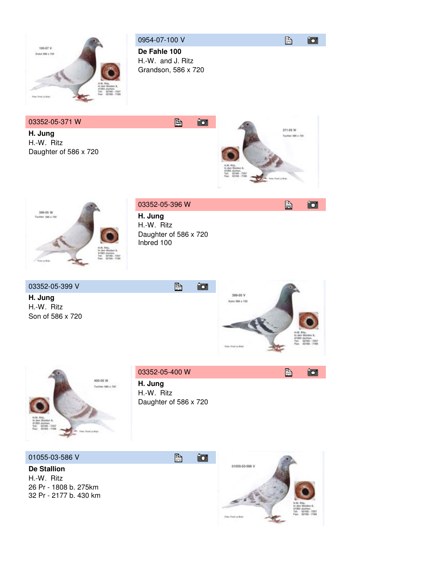

 0954-07-100 V  **De Fahle 100**  H.-W. and J. Ritz Grandson, 586 x 720

昏

# 03352-05-371 W

 **H. Jung**  H.-W. Ritz Daughter of 586 x 720





### 03352-05-396 W

 **H. Jung**  H.-W. Ritz Daughter of 586 x 720 Inbred 100

昏

#### 03352-05-399 V

 **H. Jung**  H.-W. Ritz Son of 586 x 720



自

西





 **H. Jung**  H.-W. Ritz Daughter of 586 x 720





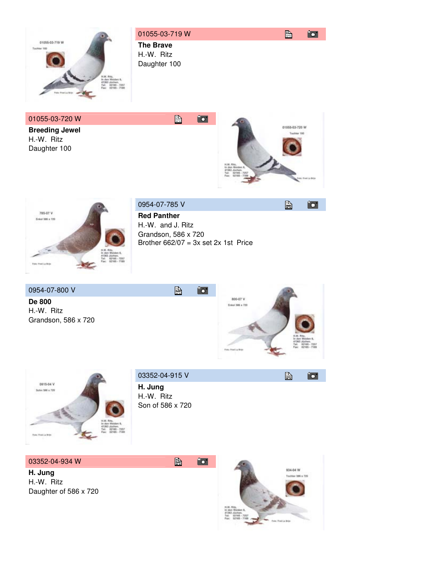

 **Breeding Jewel**  H.-W. Ritz Daughter 100



昏

迈

12



0954-07-785 V

 **Red Panther**  H.-W. and J. Ritz Grandson, 586 x 720 Brother  $662/07 = 3x$  set 2x 1st Price

昏

 0954-07-800 V  **De 800** 

 H.-W. Ritz Grandson, 586 x 720





 03352-04-915 V 昏  **H. Jung** 

 H.-W. Ritz Son of 586 x 720

昏

10

03352-04-934 W

 **H. Jung**  H.-W. Ritz Daughter of 586 x 720